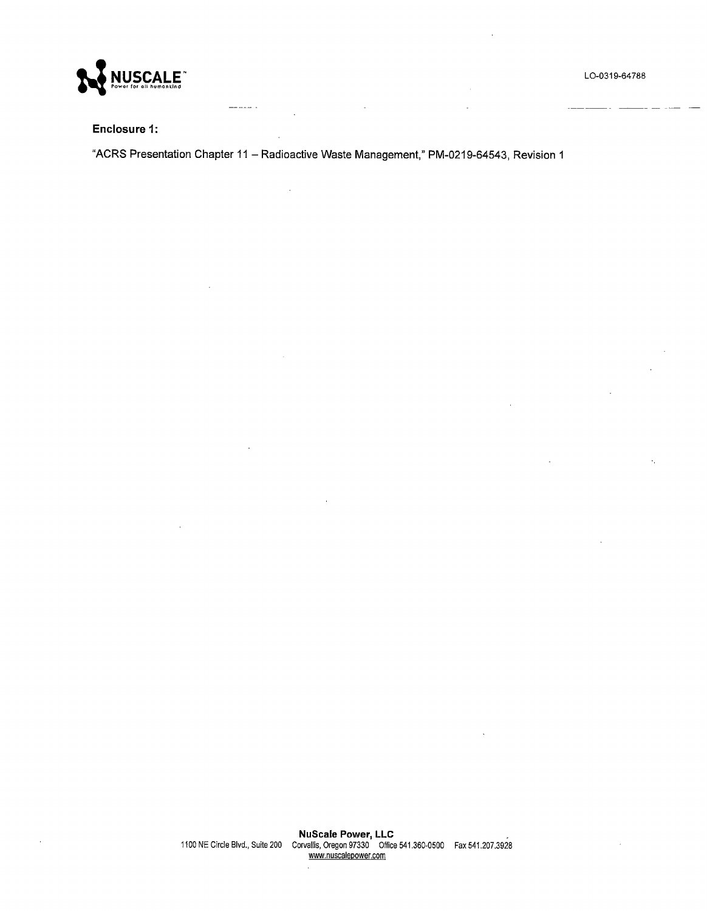

مدد سد د



#### **Enclosure 1:**

**"ACRS Presentation Chapter** 11 - **Radioactive Waste Management," PM-0219-64543, Revision 1** 

 $\frac{1}{2} \left( \frac{1}{2} \left( \frac{1}{2} \left( \frac{1}{2} \left( \frac{1}{2} \left( \frac{1}{2} \left( \frac{1}{2} \right) \right) + \frac{1}{2} \left( \frac{1}{2} \left( \frac{1}{2} \left( \frac{1}{2} \right) \right) + \frac{1}{2} \left( \frac{1}{2} \left( \frac{1}{2} \right) \right) \right) \right) \right)$ 

 $\overline{a}$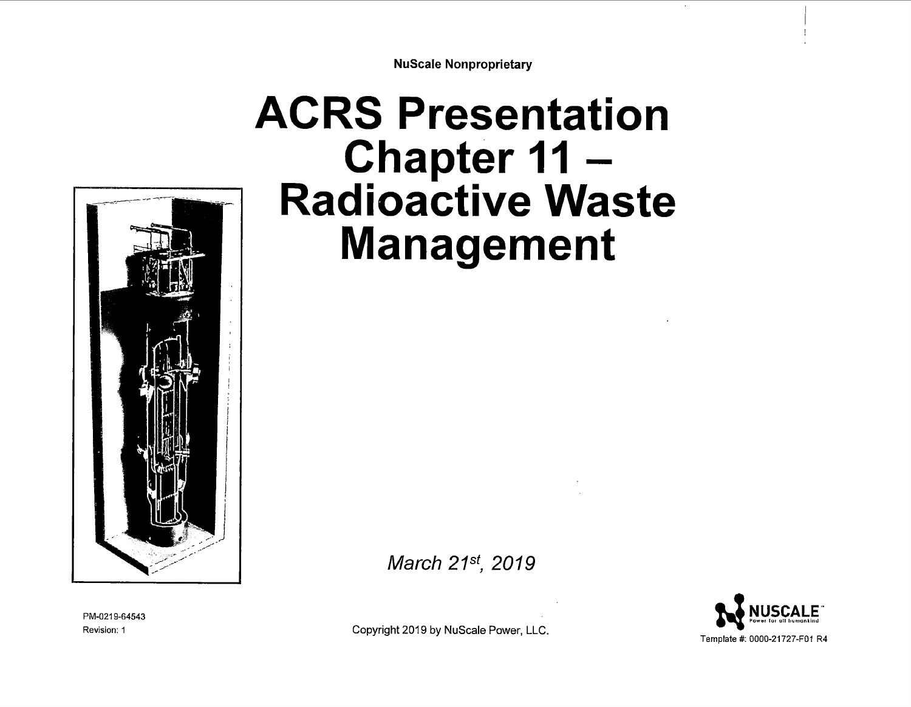**NuScale Nonproprietary** 

# **ACRS Presentation Chapter 11** - **Radioactive Waste Management**



March *21st, 2019* 

**NUSCALE** Template *ft.* 0000-21727-F01 R4

PM-0219-64543 Revision: 1

Copyright 2019 by NuScale Power, LLC.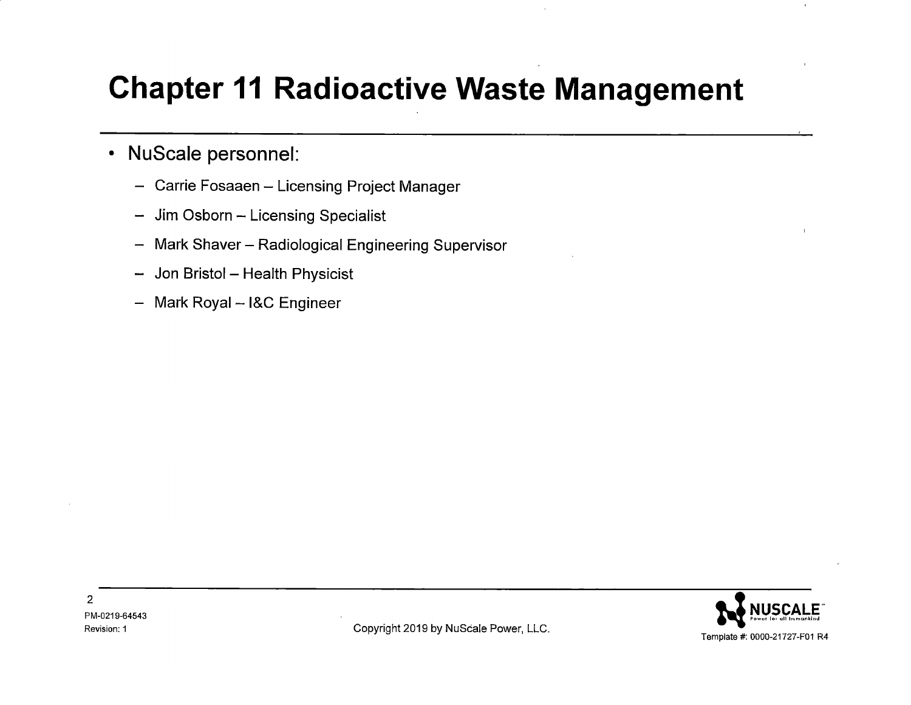#### **Chapter 11 Radioactive Waste Management**

#### • NuScale personnel:

- Carrie Fosaaen Licensing Project Manager
- Jim Osborn Licensing Specialist
- Mark Shaver Radiological Engineering Supervisor
- Jon Bristol Health Physicist
- Mark Royal I&C Engineer

2

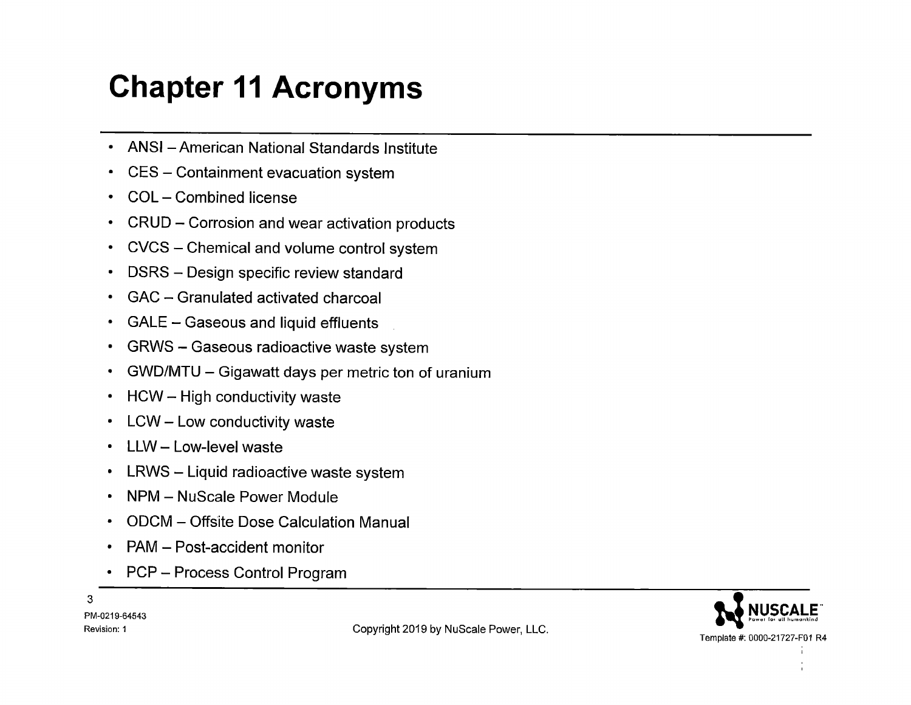### **Chapter 11 Acronyms**

- ANSI American National Standards Institute
- CES Containment evacuation system
- COL Combined license
- CRUD Corrosion and wear activation products
- CVCS Chemical and volume control system
- DSRS Design specific review standard
- GAC Granulated activated charcoal
- GALE Gaseous and liquid effluents
- GRWS Gaseous radioactive waste system
- GWD/MTU Gigawatt days per metric ton of uranium
- HCW High conductivity waste
- LCW Low conductivity waste
- LLW Low-level waste
- LRWS Liquid radioactive waste system
- NPM NuScale Power Module
- ODCM Offsite Dose Calculation Manual
- PAM Post-accident monitor
- PCP Process Control Program

3 PM-0219-64543



Revision: 1 **Revision: 1 Revision: 1 Copyright 2019 by NuScale Power, LLC.**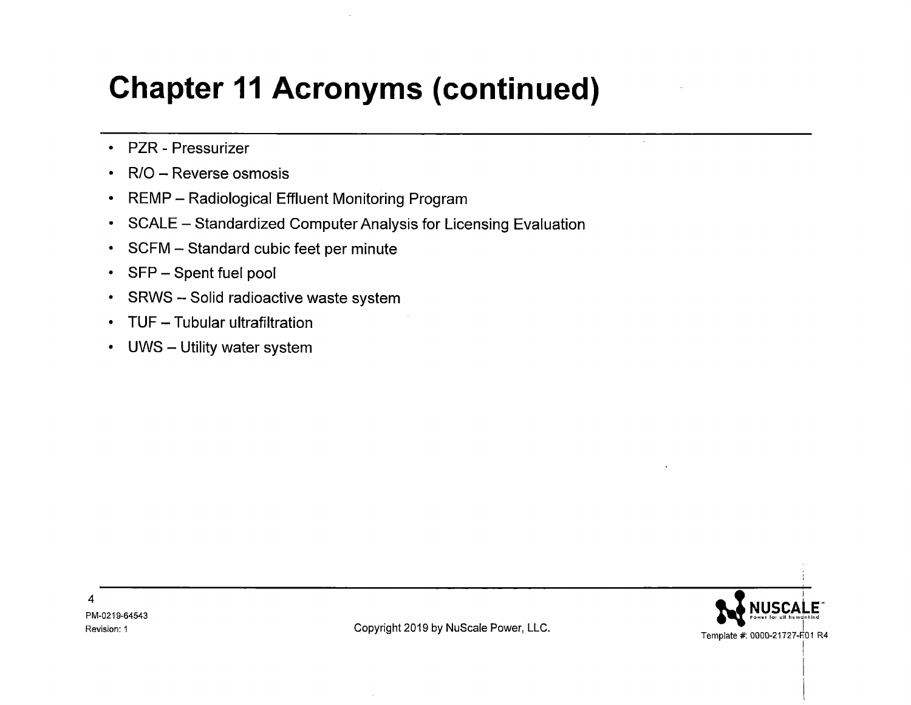#### **Chapter 11 Acronyms (continued)**

- PZR Pressurizer
- R/O Reverse osmosis
- REMP Radiological Effluent Monitoring Program
- SCALE Standardized Computer Analysis for Licensing Evaluation
- SCFM Standard cubic feet per minute
- $\cdot$  SFP  $-$  Spent fuel pool
- SRWS Solid radioactive waste system
- TUF Tubular ultrafiltration
- UWS Utility water system



I  $\vert$  $\mathbf{I}$ 

4 PM-0219-64543

Revision: 1 **Copyright 2019 by NuScale Power, LLC.**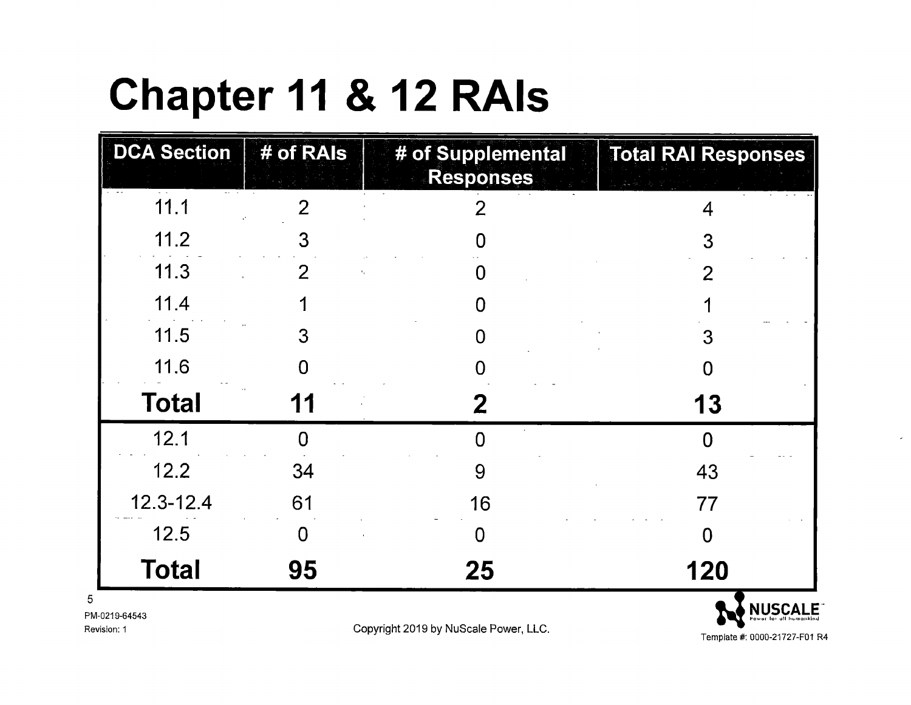# **Chapter 11** & **12 RAls**

| <b>DCA Section</b> | $#$ of RAIs | # of Supplemental<br><b>Responses</b> | <b>Total RAI Responses</b> |
|--------------------|-------------|---------------------------------------|----------------------------|
| 11.1               |             |                                       |                            |
| 11.2               | 3           |                                       | 3                          |
| 11.3               | 2           |                                       |                            |
| 11.4               |             |                                       |                            |
| 11.5               | 3           |                                       | 3                          |
| 11.6               |             |                                       |                            |
| <b>Total</b>       | 11          | 2                                     | 13                         |
| 12.1               | Ω           |                                       |                            |
| 12.2               | 34          | 9                                     | 43                         |
| $12.3 - 12.4$      | 61          | 16                                    | 77                         |
| 12.5               | 0           | O                                     |                            |
| <b>Total</b>       | 95          | 25                                    | 120                        |
| PM-0219-64543      |             |                                       | <b>NUSCALE</b>             |

Revision: 1

Copyright 2019 by NuScale Power, LLC.

Template#: 0000-21727-F01 R4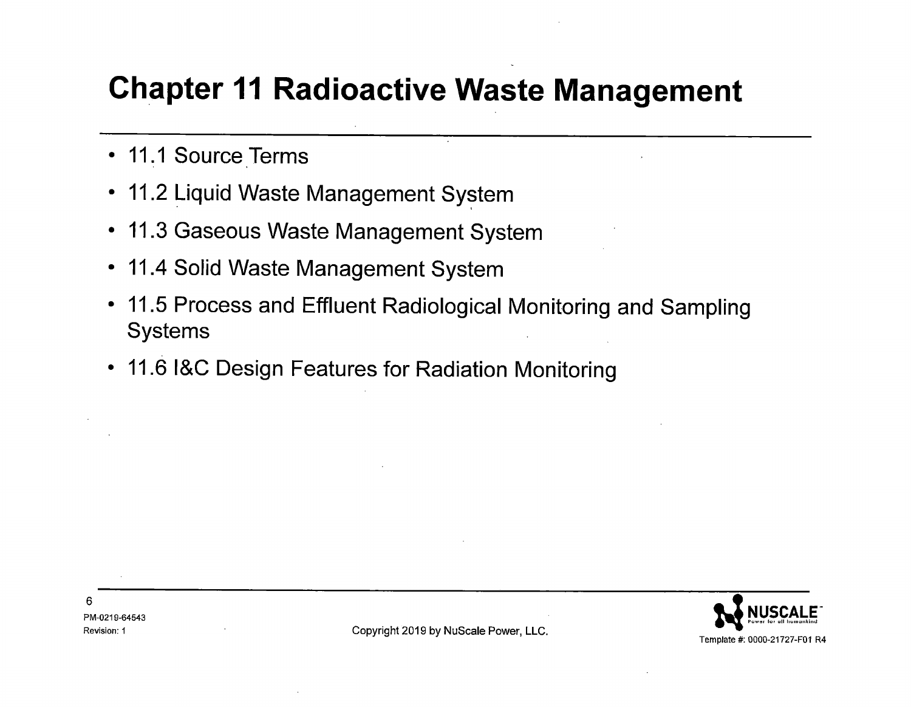#### **Chapter 11 Radioactive Waste Management**

- 11.1 Source Terms
- 11.2 Liquid Waste Management System
- 11.3 Gaseous Waste Management System
- 11.4 Solid Waste Management System
- 11.5 Process and Effluent Radiological Monitoring and Sampling Systems
- 11.6 l&C Design Features for Radiation Monitoring

Revision: 1 **Copyright 2019 by NuScale Power, LLC.**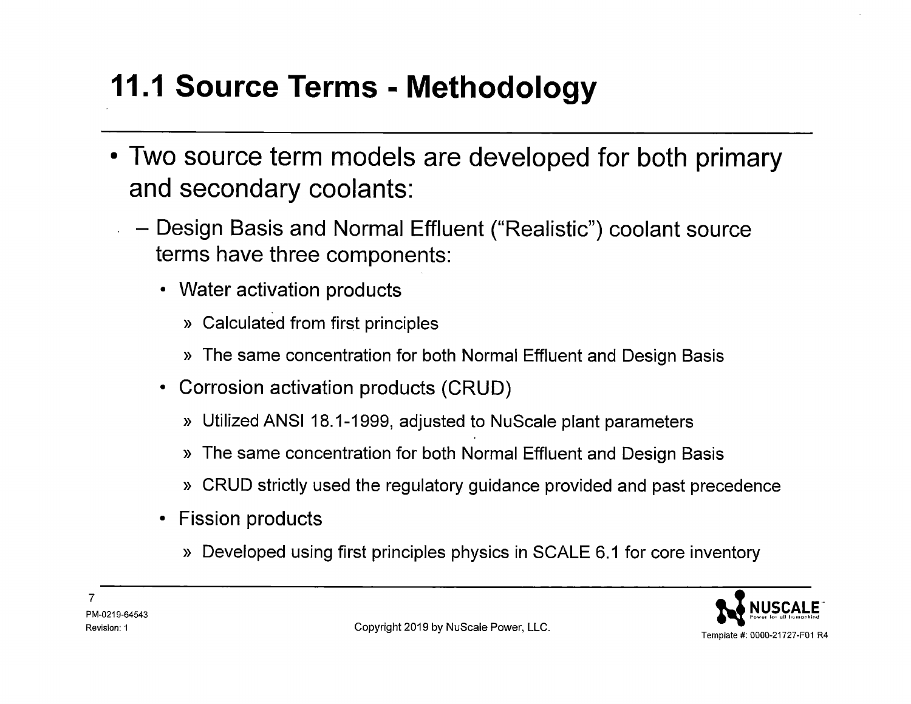### **11.1 Source Terms - Methodology**

- Two source term models are developed for both primary and secondary coolants:
	- Design Basis and Normal Effluent ("Realistic") coolant source terms have three components:
		- Water activation products
			- » Calculated from first principles
			- » The same concentration for both Normal Effluent and Design Basis
		- Corrosion activation products (CRUD)
			- » Utilized ANSI 18.1-1999, adjusted to NuScale plant parameters
			- » The same concentration for both Normal Effluent and Design Basis
			- » CRUD strictly used the regulatory guidance provided and past precedence
		- Fission products
			- » Developed using first principles physics in SCALE 6.1 for core inventory

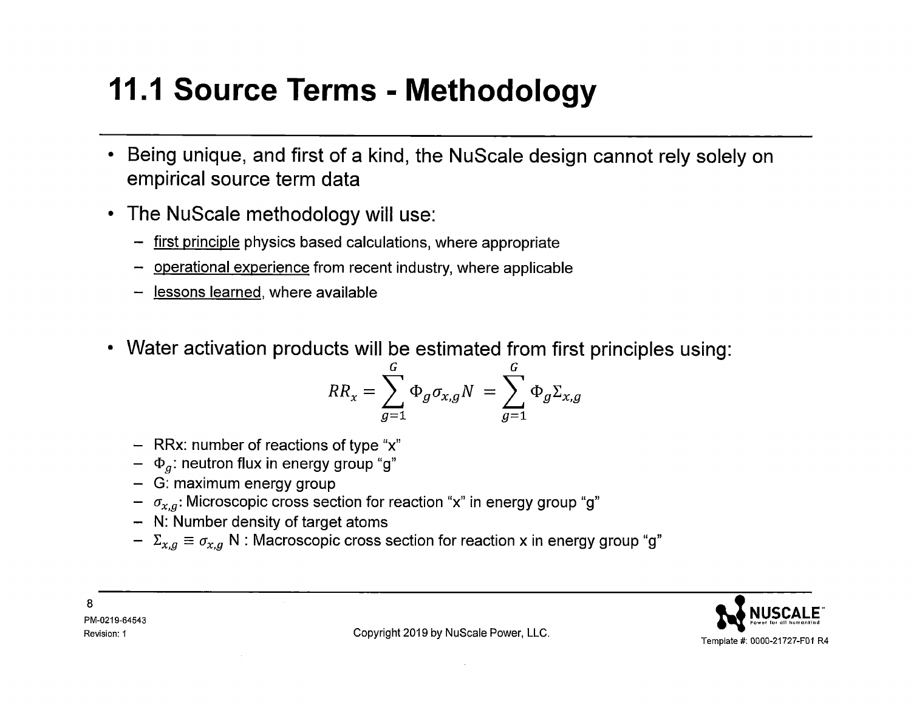#### **11.1 Source Terms - Methodology**

- **Being unique, and first of a kind, the NuScale design cannot rely solely on empirical source term data**
- **The NuScale methodology will use:** 
	- first principle physics based calculations, where appropriate
	- operational experience from recent industry, where applicable
	- <u>lessons learned,</u> where available
- **Water activation products will be estimated from first principles using:**

$$
RR_x = \sum_{g=1}^{G} \Phi_g \sigma_{x,g} N = \sum_{g=1}^{G} \Phi_g \Sigma_{x,g}
$$

- $-$  RRx: number of reactions of type "x"
- $\Phi_g$ : neutron flux in energy group "g"
- G: maximum energy group
- $\sigma_{\text{x},g}$ : Microscopic cross section for reaction "x" in energy group "g"
- N: Number density of target atoms
- $\;\texttt{-} \;\; \Sigma_{\text{x},g} \equiv \sigma_{\text{x},g}$  N : Macroscopic cross section for reaction x in energy group "g"



8 PM-0219-64543

Revision: 1 **Copyright 2019 by NuScale Power, LLC.**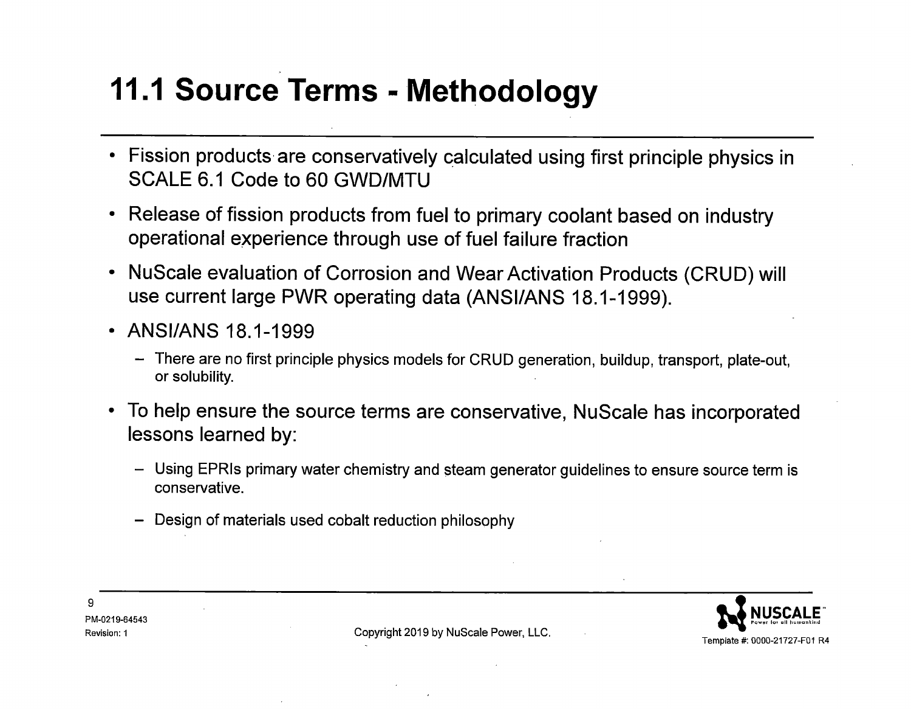#### **11.1 Source Terms - Methodology**

- Fission products are conservatively calculated using first principle physics in SCALE 6.1 Code to 60 GWD/MTU
- Release of fission products from fuel to primary coolant based on industry operational experience through use of fuel failure fraction
- NuScale evaluation of Corrosion and Wear Activation Products (CRUD) will use current large PWR operating data (ANSI/ANS 18.1-1999).
- ANSI/ANS 18.1-1999
	- There are no first principle physics models for CRUD generation, buildup, transport, plate-out, or solubility.
- To help ensure the source terms are conservative, NuScale has incorporated lessons learned by:
	- Using EPRIs primary water chemistry and steam generator guidelines to ensure source term is conservative.
	- Design of materials used cobalt reduction philosophy



PM-0219-64543

9

Revision: 1 **Copyright 2019 by NuScale Power, LLC.**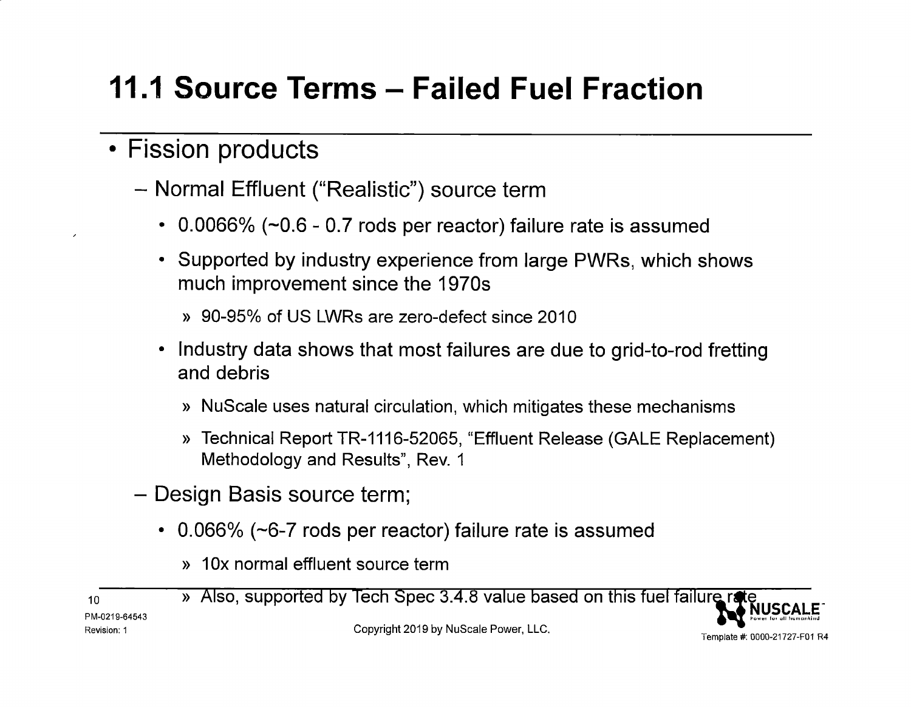# **11.1 Source Terms - Failed Fuel Fraction**

#### • Fission products

- Normal Effluent ("Realistic") source term
	- 0.0066%  $(-0.6 0.7$  rods per reactor) failure rate is assumed
	- Supported by industry experience from large PWRs, which shows much improvement since the 1970s
		- » 90-95°/o of US LWRs are zero-defect since 2010
	- Industry data shows that most failures are due to grid-to-rod fretting and debris
		- » NuScale uses natural circulation, which mitigates these mechanisms
		- » Technical Report TR-1116-52065, "Effluent Release (GALE Replacement) Methodology and Results", Rev. 1
- Design Basis source term;
	- 0.066% ( $\sim$ 6-7 rods per reactor) failure rate is assumed
		- » 10x normal effluent source term

10 PM-0219-64543 Revision: 1 » Also, supported by Tech Spec 3.4.8 value based on this fuel failure rate Copyright 2019 by NuScale Power, LLC. Template #: 0000-21727-F01 R4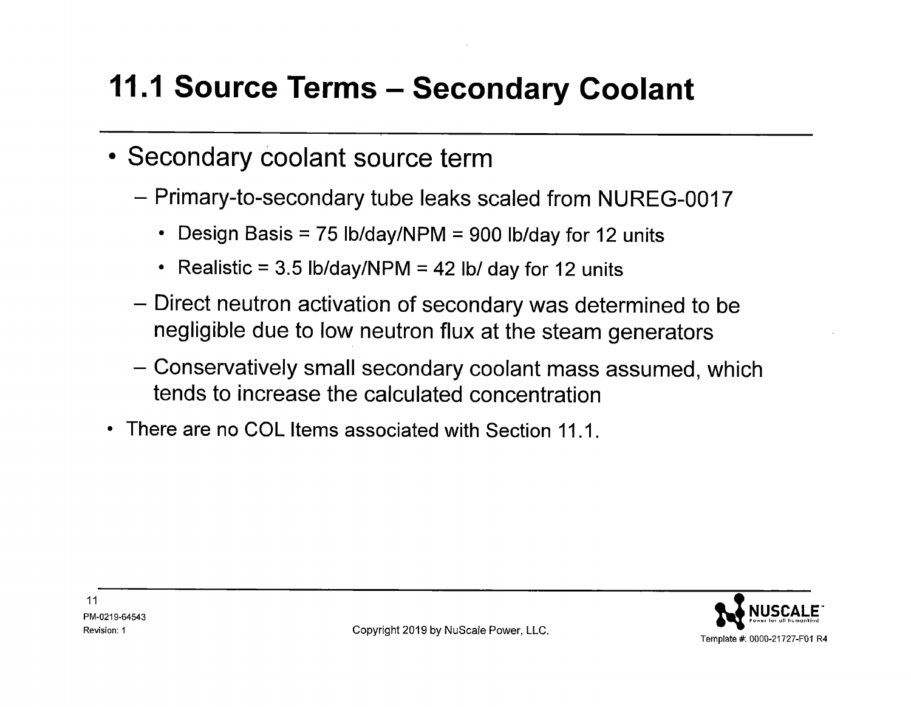### **11.1 Source Terms - Secondary Coolant**

- Secondary coolant source term
	- Primary-to-secondary tube leaks scaled from NUREG-0017
		- Design Basis = 75 lb/day/NPM = 900 lb/day for 12 units
		- Realistic =  $3.5$  lb/day/NPM =  $42$  lb/ day for 12 units
	- Direct neutron activation of secondary was determined to be negligible due to low neutron flux at the steam generators
	- Conservatively small secondary coolant mass assumed, which tends to increase the calculated concentration
- There are no COL Items associated with Section 11.1.

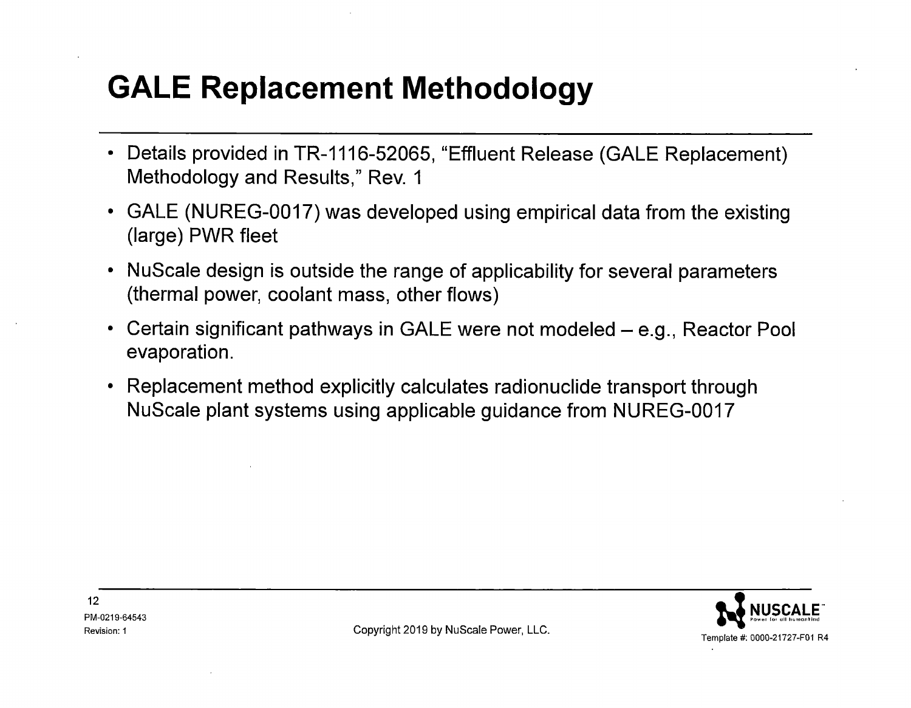### **GALE Replacement Methodology**

- Details provided in TR-1116-52065, "Effluent Release (GALE Replacement) Methodology and Results," Rev. 1
- GALE (NUREG-0017) was developed using empirical data from the existing (large) PWR fleet
- NuScale design is outside the range of applicability for several parameters (thermal power, coolant mass, other flows)
- Certain significant pathways in GALE were not modeled e.g., Reactor Pool evaporation.
- Replacement method explicitly calculates radionuclide transport through NuScale plant systems using applicable guidance from NUREG-0017



Revision: 1 **Copyright 2019 by NuScale Power, LLC.**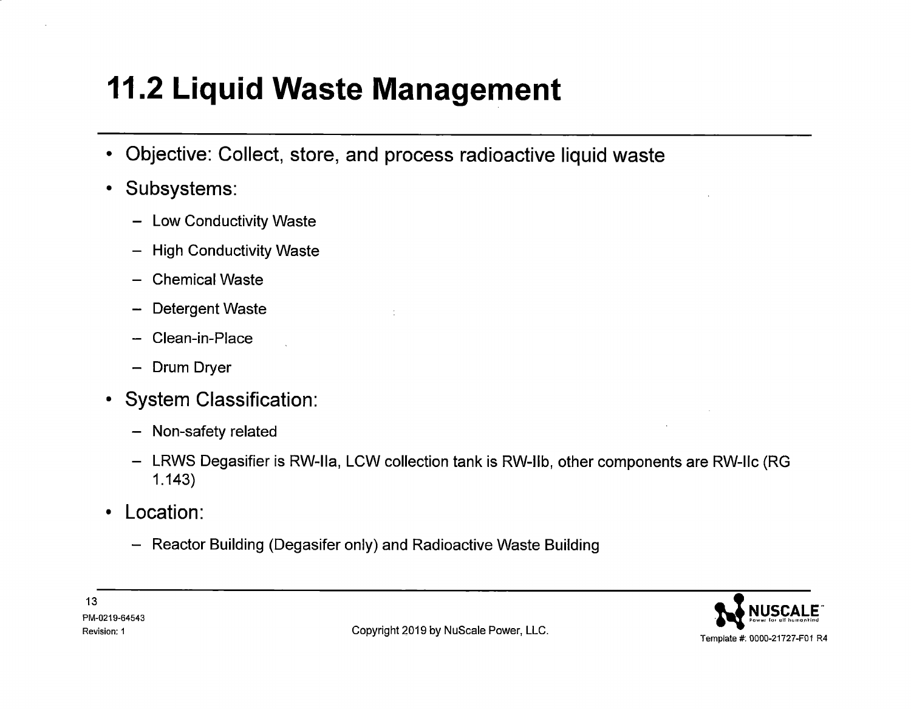- Objective: Collect, store, and process radioactive liquid waste
- Subsystems:
	- Low Conductivity Waste
	- High Conductivity Waste
	- Chemical Waste
	- Detergent Waste
	- Clean-in-Place
	- Drum Dryer
- System Classification:
	- Non-safety related
	- LRWS Degasifier is RW-lla, LCW collection tank is RW-llb, other components are RW-llc (RG 1.143)
- Location:
	- Reactor Building (Degasifer only) and Radioactive Waste Building

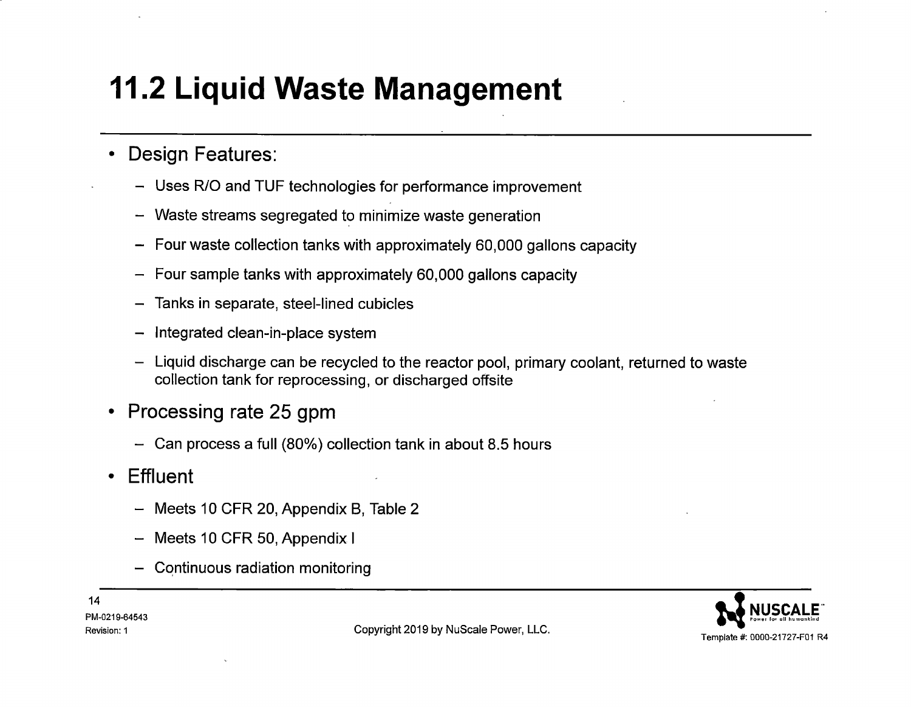- Design Features:
	- Uses R/0 and TUF technologies for performance improvement
	- Waste streams segregated to minimize waste generation
	- Four waste collection tanks with approximately 60,000 gallons capacity
	- Four sample tanks with approximately 60,000 gallons capacity
	- Tanks in separate, steel-lined cubicles
	- Integrated clean-in-place system
	- Liquid discharge can be recycled to the reactor pool, primary coolant, returned to waste collection tank for reprocessing, or discharged offsite
- Processing rate 25 gpm
	- Can process a full (80%) collection tank in about 8.5 hours
- Effluent
	- Meets 10 CFR 20, Appendix B, Table 2
	- Meets 10 CFR 50, Appendix I
	- $-$  Continuous radiation monitoring

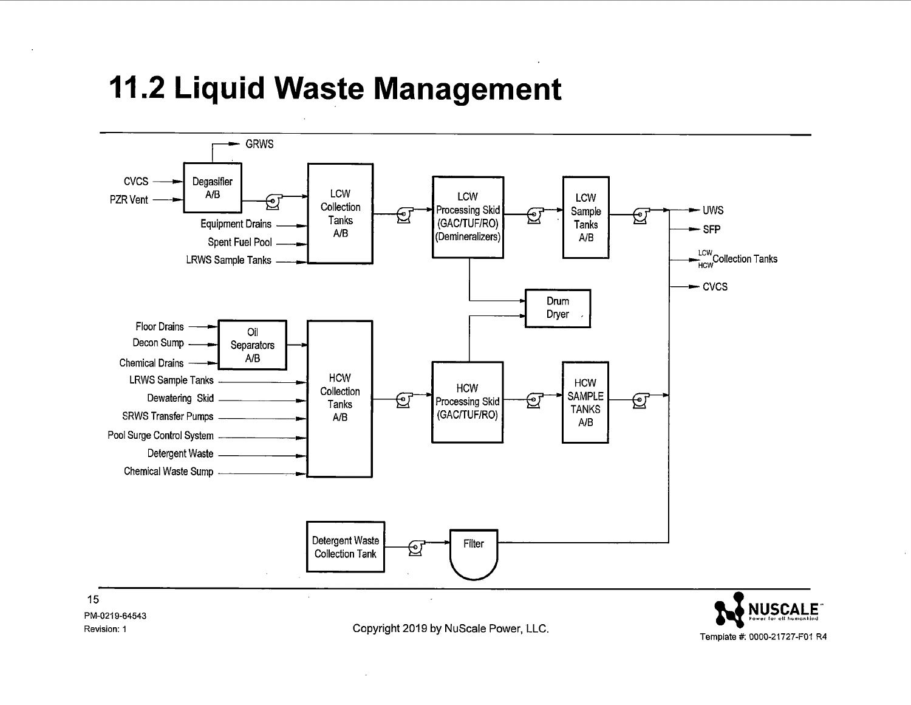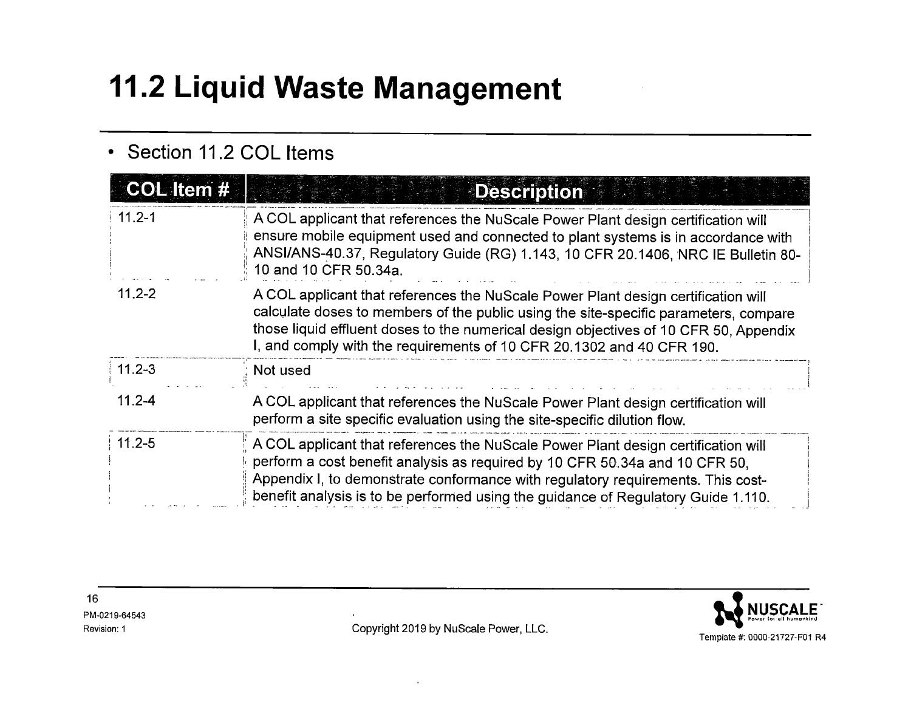#### • **Section 11.2 COL Items**

| COL Item # | <b>Description</b>                                                                                                                                                                                                                                                                                                                          |
|------------|---------------------------------------------------------------------------------------------------------------------------------------------------------------------------------------------------------------------------------------------------------------------------------------------------------------------------------------------|
| $11.2 - 1$ | A COL applicant that references the NuScale Power Plant design certification will<br>ensure mobile equipment used and connected to plant systems is in accordance with<br>ANSI/ANS-40.37, Regulatory Guide (RG) 1.143, 10 CFR 20.1406, NRC IE Bulletin 80-<br>10 and 10 CFR 50.34a.                                                         |
| $11.2 - 2$ | A COL applicant that references the NuScale Power Plant design certification will<br>calculate doses to members of the public using the site-specific parameters, compare<br>those liquid effluent doses to the numerical design objectives of 10 CFR 50, Appendix<br>I, and comply with the requirements of 10 CFR 20.1302 and 40 CFR 190. |
| $11.2 - 3$ | Not used                                                                                                                                                                                                                                                                                                                                    |
| $11.2 - 4$ | A COL applicant that references the NuScale Power Plant design certification will<br>perform a site specific evaluation using the site-specific dilution flow.                                                                                                                                                                              |
| $11.2 - 5$ | A COL applicant that references the NuScale Power Plant design certification will<br>perform a cost benefit analysis as required by 10 CFR 50.34a and 10 CFR 50.<br>Appendix I, to demonstrate conformance with regulatory requirements. This cost-<br>benefit analysis is to be performed using the guidance of Regulatory Guide 1.110.    |

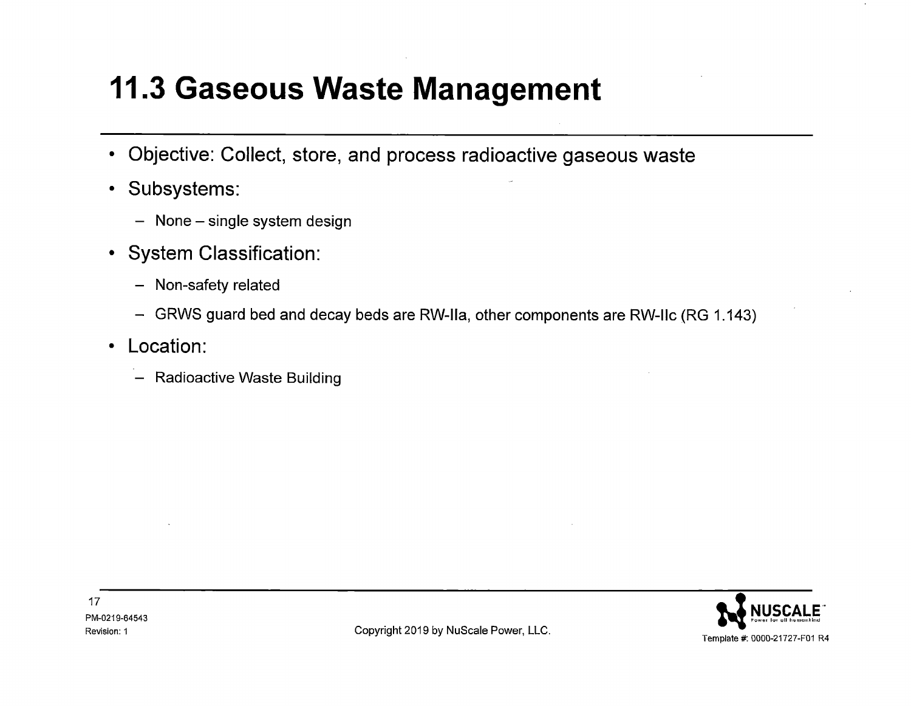- **Objective: Collect, store, and process radioactive gaseous waste**
- **Subsystems:** 
	- None single system design
- **System Classification:** 
	- Non-safety related
	- GRWS guard bed and decay beds are RW-lla, other components are RW-llc (RG 1.143)
- **Location:** 
	- Radioactive Waste Building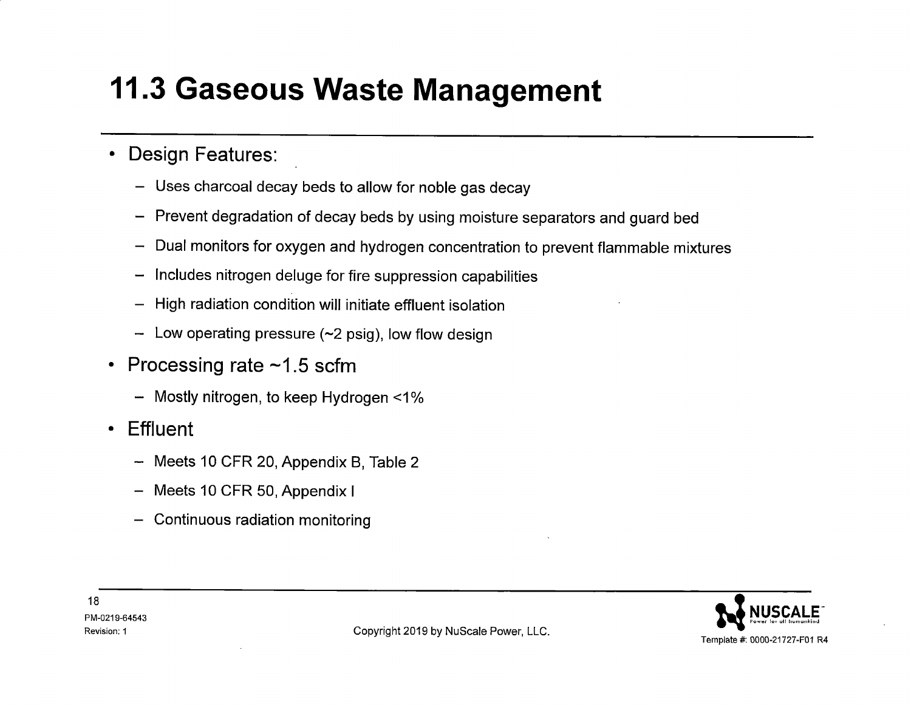#### • **Design Features:**

- Uses charcoal decay beds to allow for noble gas decay
- Prevent degradation of decay beds by using moisture separators and guard bed
- Dual monitors for oxygen and hydrogen concentration to prevent flammable mixtures
- Includes nitrogen deluge for fire suppression capabilities
- High radiation condition will initiate effluent isolation
- $-$  Low operating pressure (~2 psig), low flow design  $\,$
- **Processing rate -1.5 scfm** 
	- Mostly nitrogen, to keep Hydrogen <1 %
- **Effluent** 
	- Meets 10 CFR 20, Appendix B, Table 2
	- Meets 10 CFR 50, Appendix I
	- Continuous radiation monitoring

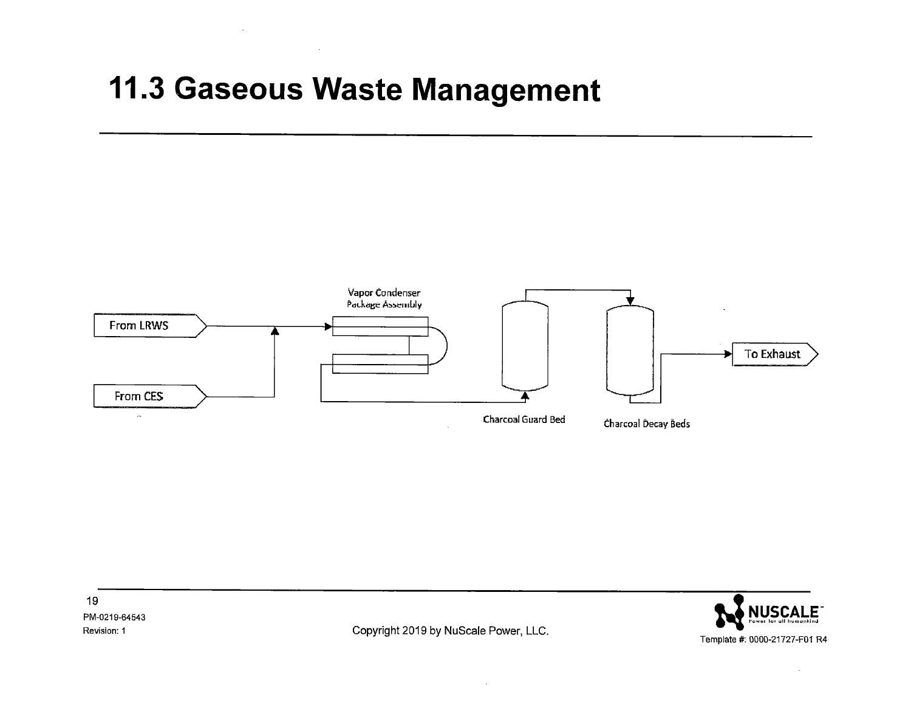



 $\sim$ 

 $\sim$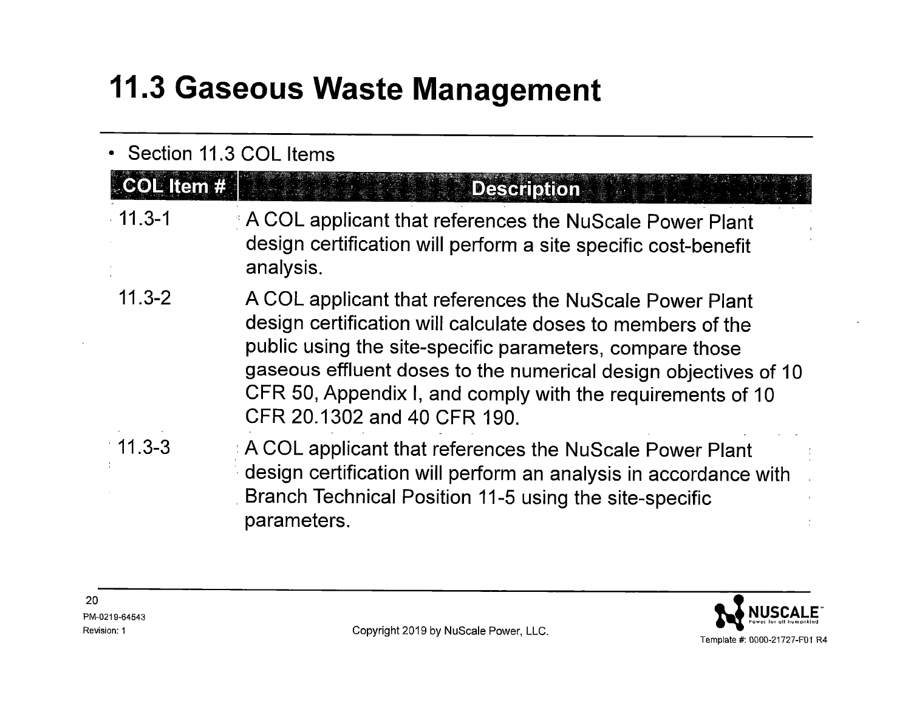#### • Section 11.3 COL Items COL Item # **Description**  $-11.3 - 1$ A COL applicant that references the NuScale Power Plant design certification will perform a site specific cost-benefit analysis. 11.3-2 A COL applicant that references the NuScale Power Plant design certification will calculate doses to members of the public using the site-specific parameters, compare those gaseous effluent doses to the numerical design objectives of <sup>10</sup> CFR 50, Appendix I, and comply with the requirements of <sup>10</sup> CFR 20.1302 and 40 CFR 190. : A COL applicant that references the NuScale Power Plant  $11.3 - 3$ design certification will perform an analysis in accordance with . Branch Technical Position 11-5 using the site-specific parameters.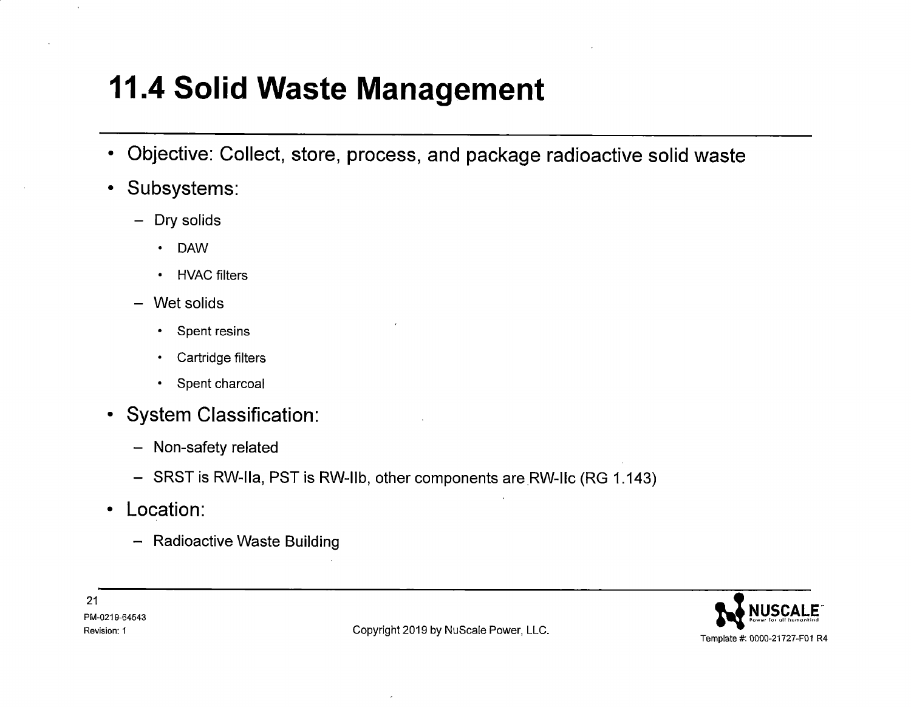- **Objective: Collect, store, process, and package radioactive solid waste**
- **Subsystems:** 
	- Dry solids
		- DAW
		- HVAC filters
	- Wet solids
		- Spent resins
		- Cartridge filters
		- Spent charcoal
- **System Classification:** 
	- Non-safety related
	- SRST is RW-lla, PST is RW-llb, other components are.RW-llc (RG 1.143)
- **Location:** 
	- Radioactive Waste Building



Revision: 1 **Copyright 2019 by NuScale Power, LLC.**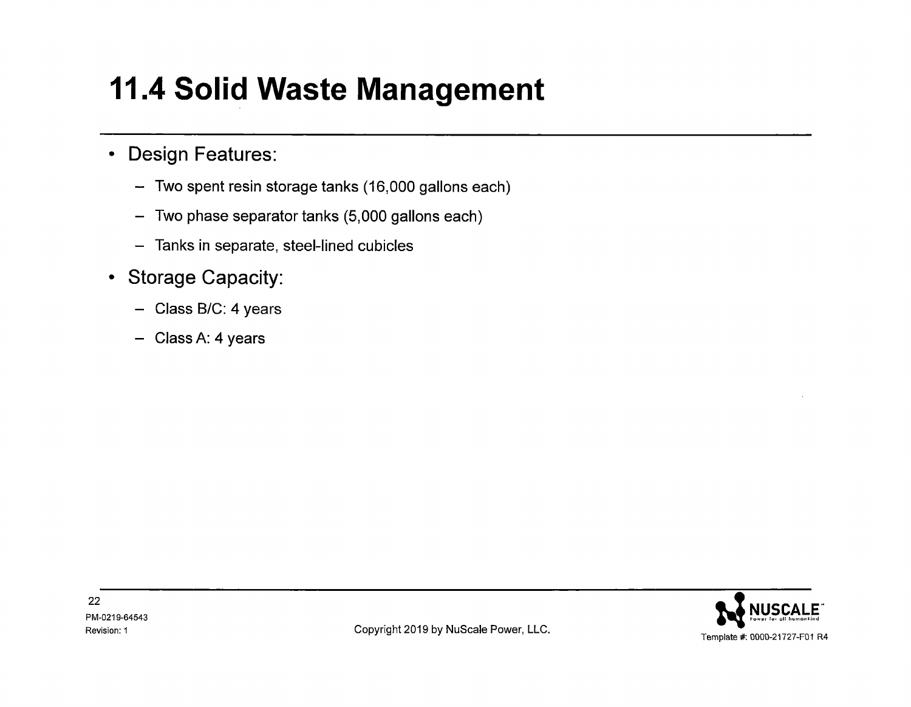#### • **Design Features:**

- Two spent resin storage tanks (16,000 gallons each)
- Two phase separator tanks (5,000 gallons each)
- Tanks in separate, steel-lined cubicles
- **Storage Capacity:** 
	- Class B/C: 4 years
	- Class A: 4 years

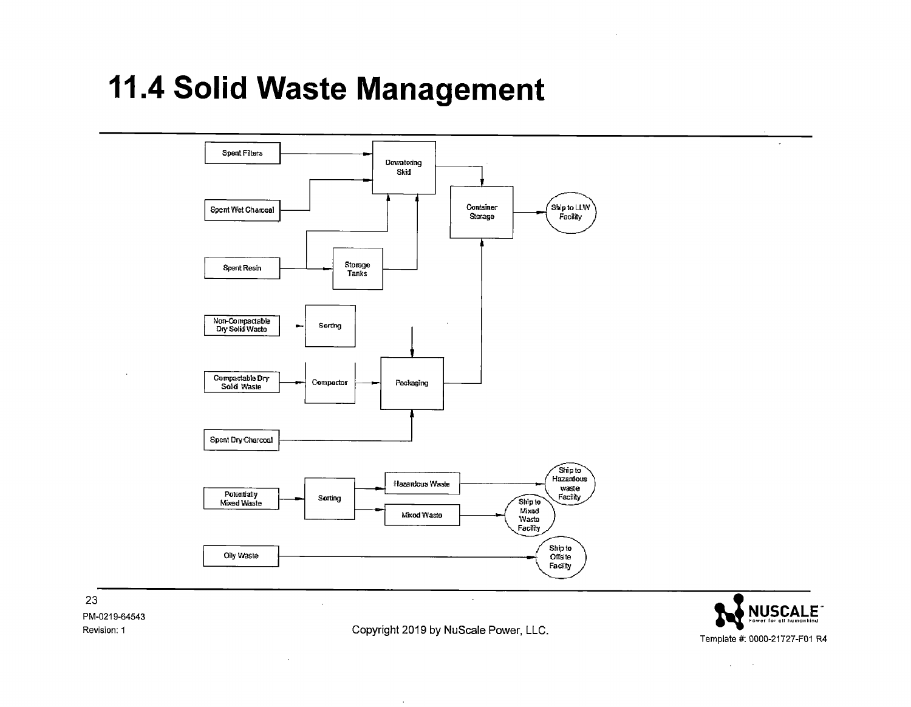

**NUSCALE** Template #: 0000-21727-F01 R4

23 PM-0219-64543 Revision: 1

Copyright 2019 by NuScale Power, LLC.

 $\sim$ 

 $\sim$   $\sim$  $\mathcal{L}$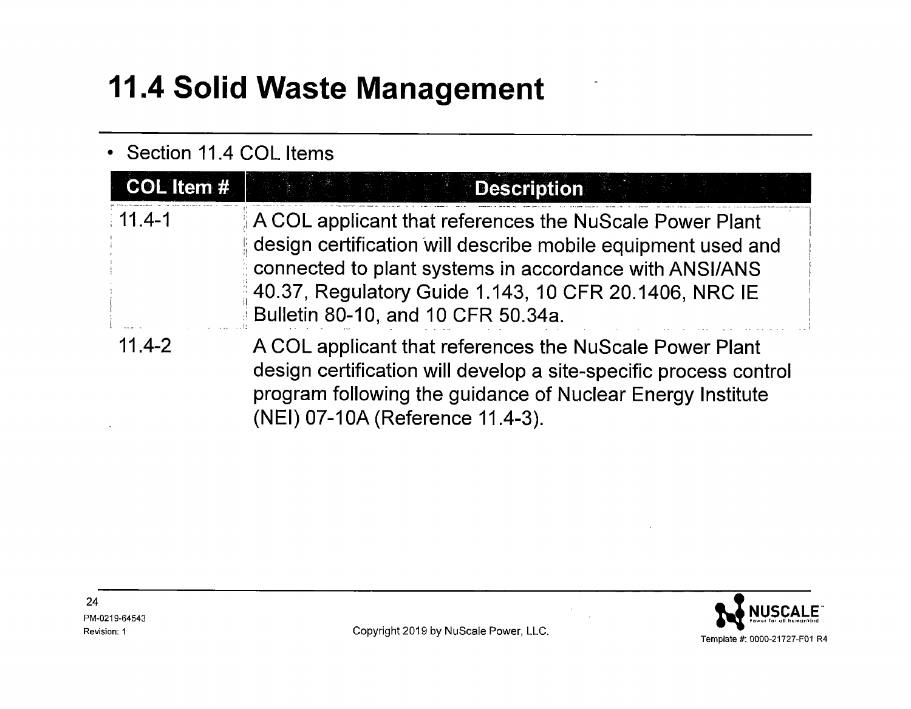#### • Section 11.4 COL Items

| COL Item # | <b>Description</b>                                                                                                                                                                                                                                                               |
|------------|----------------------------------------------------------------------------------------------------------------------------------------------------------------------------------------------------------------------------------------------------------------------------------|
| $11.4 - 1$ | A COL applicant that references the NuScale Power Plant<br>design certification will describe mobile equipment used and<br>connected to plant systems in accordance with ANSI/ANS<br>40.37, Regulatory Guide 1.143, 10 CFR 20.1406, NRC IE<br>Bulletin 80-10, and 10 CFR 50.34a. |
| $11.4 - 2$ | A COL applicant that references the NuScale Power Plant<br>design certification will develop a site-specific process control<br>program following the guidance of Nuclear Energy Institute<br>(NEI) 07-10A (Reference 11.4-3).                                                   |



24 PM-0219-64543 Revision: 1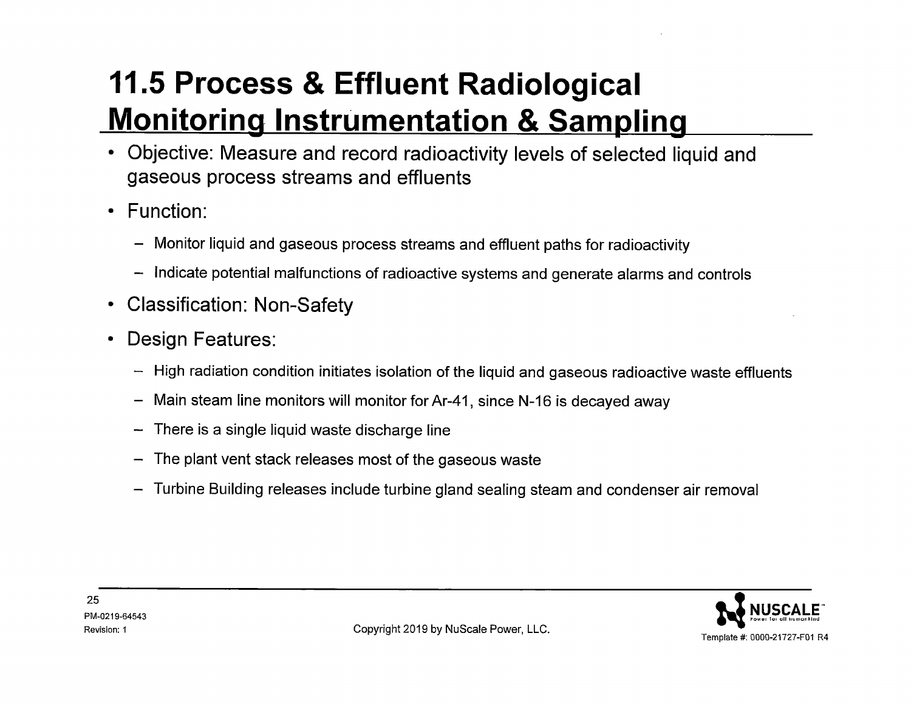- Objective: Measure and record radioactivity levels of selected liquid and gaseous process streams and effluents
- Function:
	- Monitor liquid and gaseous process streams and effluent paths for radioactivity
	- Indicate potential malfunctions of radioactive systems and generate alarms and controls
- Classification: Non-Safety
- Design Features:
	- High radiation condition initiates isolation of the liquid and gaseous radioactive waste effluents
	- Main steam line monitors will monitor for Ar-41, since N-16 is decayed away
	- There is a single liquid waste discharge line
	- The plant vent stack releases most of the gaseous waste
	- Turbine Building releases include turbine gland sealing steam and condenser air removal

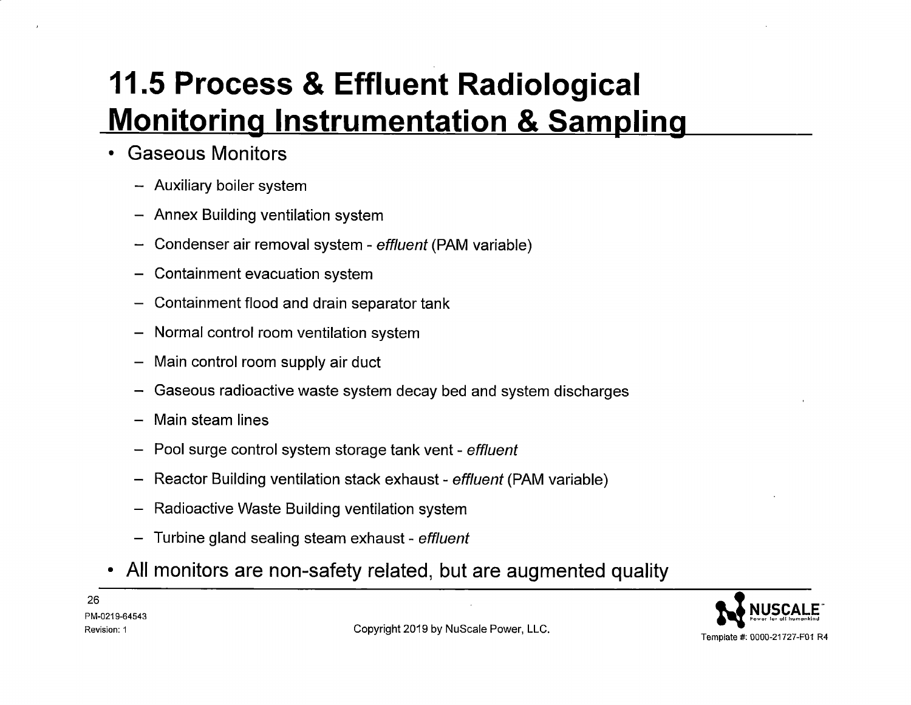- **Gaseous Monitors** 
	- Auxiliary boiler system
	- Annex Building ventilation system
	- Condenser air removal system *effluent* (PAM variable)
	- Containment evacuation system
	- Containment flood and drain separator tank
	- Normal control room ventilation system
	- Main control room supply air duct
	- Gaseous radioactive waste system decay bed and system discharges
	- Main steam lines
	- Pool surge control system storage tank vent *effluent*
	- Reactor Building ventilation stack exhaust *effluent* (PAM variable)
	- Radioactive Waste Building ventilation system
	- Turbine gland sealing steam exhaust *effluent*
- **All monitors are non-safety related, but are augmented quality**

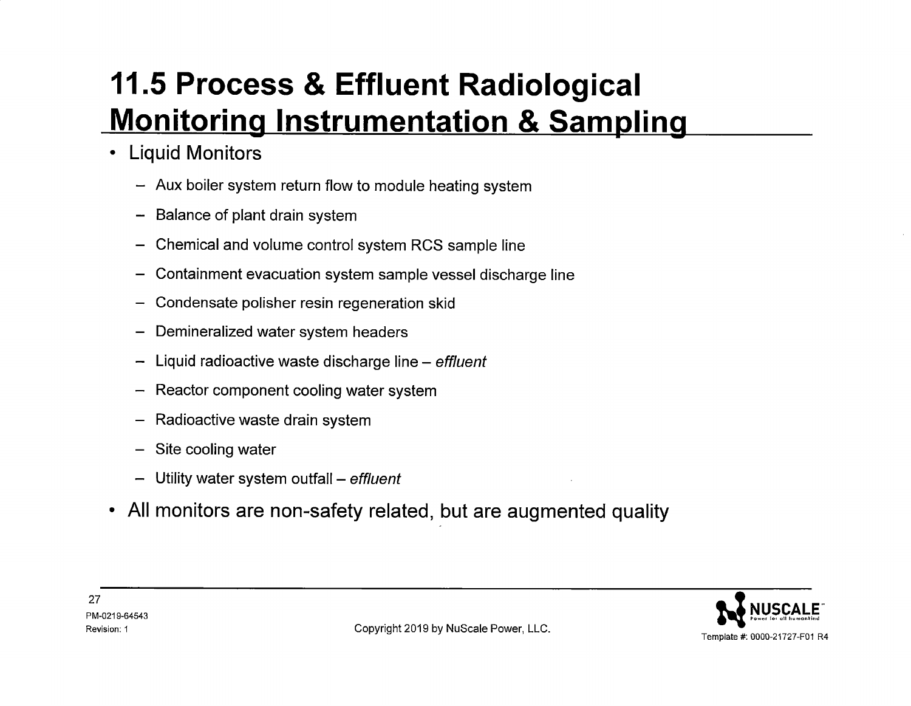- **Liquid Monitors** 
	- Aux boiler system return flow to module heating system
	- Balance of plant drain system
	- Chemical and volume control system RCS sample line
	- Containment evacuation system sample vessel discharge line
	- Condensate polisher resin regeneration skid
	- Demineralized water system headers
	- $-$  Liquid radioactive waste discharge line effluent
	- Reactor component cooling water system
	- Radioactive waste drain system
	- Site cooling water
	- Utility water system outfall *effluent*
- **All monitors are non-safety related, but are augmented quality**

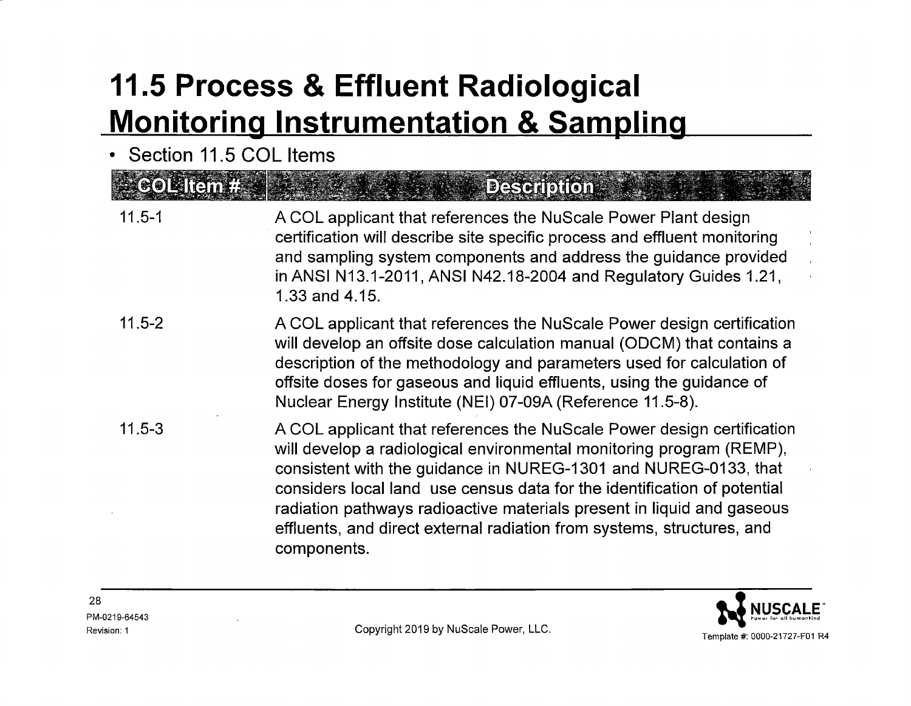• Section 11.5 COL Items

| $\approx$ CORTEM $T$ . $\bullet$ | <b>Deseription :</b>                                                                                                                                                                                                                                                                                                                                                                                                                                             |
|----------------------------------|------------------------------------------------------------------------------------------------------------------------------------------------------------------------------------------------------------------------------------------------------------------------------------------------------------------------------------------------------------------------------------------------------------------------------------------------------------------|
| $11.5 - 1$                       | A COL applicant that references the NuScale Power Plant design<br>certification will describe site specific process and effluent monitoring<br>and sampling system components and address the guidance provided<br>in ANSI N13.1-2011, ANSI N42.18-2004 and Regulatory Guides 1.21,<br>1.33 and 4.15.                                                                                                                                                            |
| $11.5 - 2$                       | A COL applicant that references the NuScale Power design certification<br>will develop an offsite dose calculation manual (ODCM) that contains a<br>description of the methodology and parameters used for calculation of<br>offsite doses for gaseous and liquid effluents, using the guidance of<br>Nuclear Energy Institute (NEI) 07-09A (Reference 11.5-8).                                                                                                  |
| $11.5 - 3$                       | A COL applicant that references the NuScale Power design certification<br>will develop a radiological environmental monitoring program (REMP),<br>consistent with the guidance in NUREG-1301 and NUREG-0133, that<br>considers local land use census data for the identification of potential<br>radiation pathways radioactive materials present in liquid and gaseous<br>effluents, and direct external radiation from systems, structures, and<br>components. |

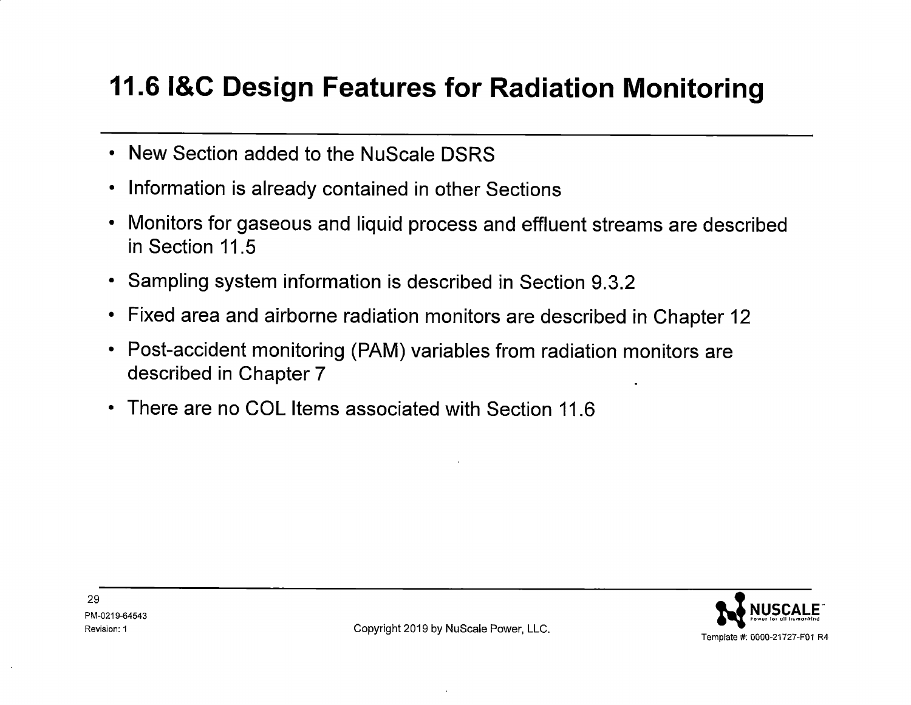#### **11.6 l&C Design Features for Radiation Monitoring**

- New Section added to the NuScale DSRS
- Information is already contained in other Sections
- Monitors for gaseous and liquid process and effluent streams are described in Section 11.5
- Sampling system information is described in Section 9.3.2
- Fixed area and airborne radiation monitors are described in Chapter <sup>12</sup>
- Post-accident monitoring (PAM) variables from radiation monitors are described in Chapter 7
- There are no COL Items associated with Section 11.6



29 PM-0219-64543

Revision: 1 **Revision: 1** Copyright 2019 by NuScale Power, LLC.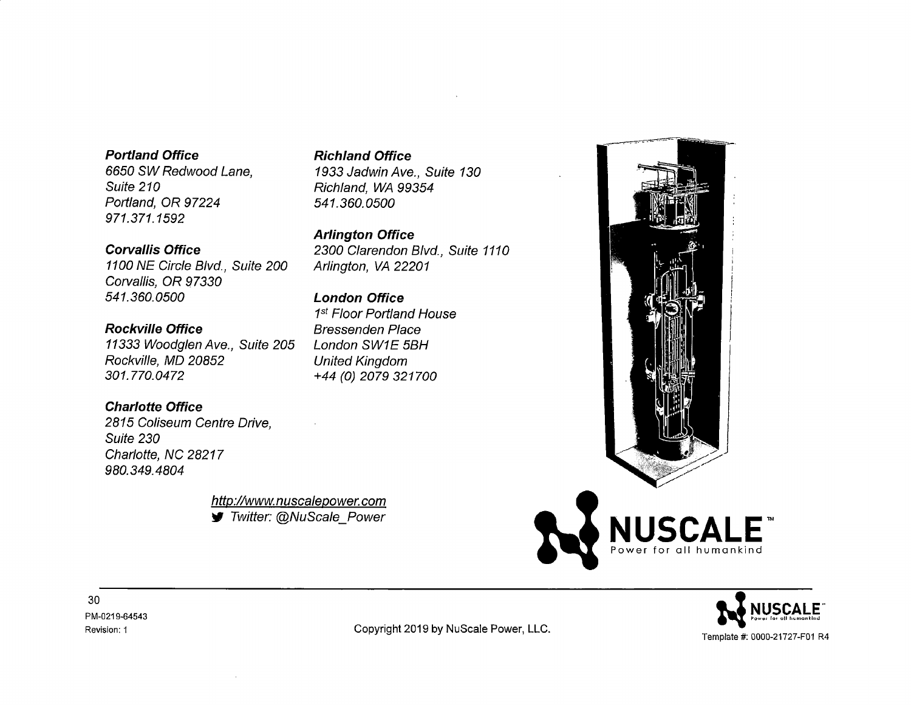#### **Portland Office**

6650 SW Redwood Lane, Suite 210 Portland, OR 97224 971.371.1592

**Corvallis Office** 

1100 NE Circle Blvd., Suite 200 Corvallis, OR 97330 541. 360. 0500

**Rockville Office**  11333 Woodglen Ave., Suite 205 Rockville, MD 20852 301. 770.0472

#### **Charlotte Office**

2815 Coliseum Centre Drive, Suite 230 Charlotte, NC 28217 980. 349. 4804

> http://www. nuscalepower. com ~ Twitter: @NuScale\_Power

**Richland Office**  1933 Jadwin Ave., Suite 130

Richland, WA 99354 541. 360. 0500

**Arlington Office**  2300 Clarendon Blvd., Suite 1110 Arlington, VA 22201

#### **London Office**

1<sup>st</sup> Floor Portland House Bressenden Place London SW1E 5BH United Kingdom +44 (0) 2079 321700





Revision: 1 **Copyright 2019 by NuScale Power, LLC.**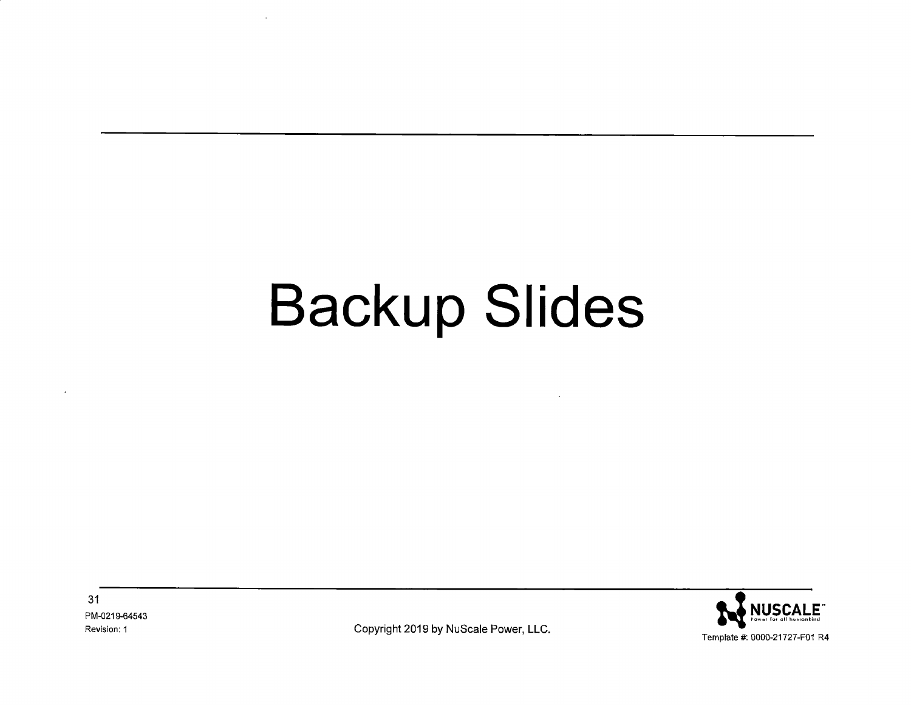# **Backup Slides**

31 PM-0219-64543 Revision: 1



Copyright 2019 by NuScale Power, LLC.